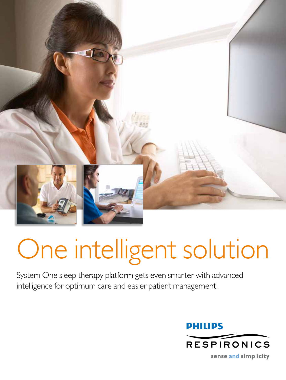

# One intelligent solution

System One sleep therapy platform gets even smarter with advanced intelligence for optimum care and easier patient management.

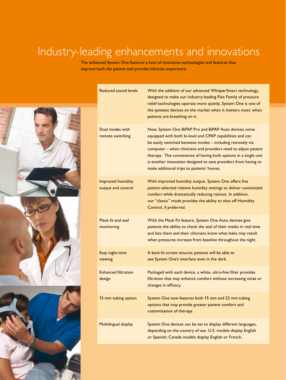## Industry-leading enhancements and innovations

The enhanced System One features a host of innovative technologies and features that improve both the patient and provider/clinician experience.



| <b>Reduced sound levels</b>             | With the addition of our advanced WhisperSmart technology,<br>designed to make our industry-leading Flex Family of pressure<br>relief technologies operate more quietly, System One is one of<br>the quietest devices on the market when it matters most: when<br>patients are breathing on it.                                                                                                                                        |
|-----------------------------------------|----------------------------------------------------------------------------------------------------------------------------------------------------------------------------------------------------------------------------------------------------------------------------------------------------------------------------------------------------------------------------------------------------------------------------------------|
| Dual modes with<br>remote switching     | Now, System One BiPAP Pro and BiPAP Auto devices come<br>equipped with both bi-level and CPAP capabilities and can<br>be easily switched between modes - including remotely via<br>computer - when clinicians and providers need to adjust patient<br>therapy. The convenience of having both options in a single unit<br>is another innovation designed to save providers from having to<br>make additional trips to patients' homes. |
| Improved humidity<br>output and control | With improved humidity output, System One offers five<br>patient-selected relative humidity settings to deliver customized<br>comfort while dramatically reducing rainout. In addition,<br>our "classic" mode provides the ability to shut off Humidity<br>Control, if preferred.                                                                                                                                                      |
| Mask fit and seal<br>monitoring         | With the Mask Fit feature, System One Auto devices give<br>patients the ability to check the seal of their masks in real time<br>and lets them and their clinicians know what leaks may result<br>when pressures increase from baseline throughout the night.                                                                                                                                                                          |
| Easy night-time<br>viewing              | A back-lit screen ensures patients will be able to<br>see System One's interface even in the dark.                                                                                                                                                                                                                                                                                                                                     |
| <b>Enhanced filtration</b><br>design    | Packaged with each device, a white, ultra-fine filter provides<br>filtration that may enhance comfort without increasing noise or<br>changes in efficacy.                                                                                                                                                                                                                                                                              |
| 15 mm tubing option                     | System One now features both 15 mm and 22 mm tubing<br>options that may provide greater patient comfort and<br>customization of therapy.                                                                                                                                                                                                                                                                                               |
| Multilingual display                    | System One devices can be set to display different languages,<br>depending on the country of use. U.S. models display English<br>or Spanish; Canada models display English or French.                                                                                                                                                                                                                                                  |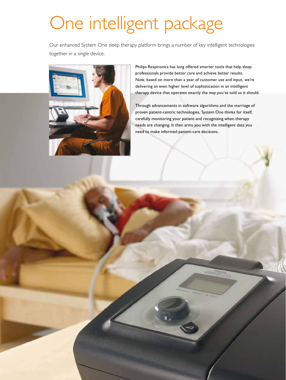## One intelligent package

Our enhanced System One sleep therapy platform brings a number of key intelligent technologies together in a single device.



Philips Respironics has long offered smarter tools that help sleep professionals provide better care and achieve better results. Now, based on more than a year of customer use and input, we're delivering an even higher level of sophistication in an intelligent therapy device that operates exactly the way you've told us it should.

Through advancements in software algorithms and the marriage of proven patient-centric technologies, System One thinks for itself, carefully monitoring your patient and recognizing when therapy needs are changing. It then arms you with the intelligent data you need to make informed patient-care decisions.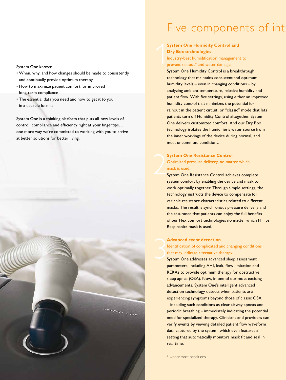System One knows:

- • When, why, and how changes should be made to consistently and continually provide optimum therapy
- • How to maximize patient comfort for improved long-term compliance
- The essential data you need and how to get it to you in a useable format

System One is a thinking platform that puts all-new levels of control, compliance and efficiency right at your fingertips… one more way we're committed to working with you to arrive at better solutions for better living.



### Five components of int

#### **System One Humidity Control and Dry Box technologies** Industry-best humidification management to prevent rainout\* and water damage.  $\left\{\begin{array}{c} \mathbf{s} \\ \mathbf{r} \\ \mathbf{r} \\ \mathbf{r} \end{array}\right.$

System One Humidity Control is a breakthrough technology that maintains consistent and optimum humidity levels – even in changing conditions – by analyzing ambient temperature, relative humidity and patient flow. With five settings, using either an improved humidity control that minimizes the potential for rainout in the patient circuit, or "classic" mode that lets patients turn off Humidity Control altogether, System One delivers customized comfort. And our Dry Box technology isolates the humidifier's water source from the inner workings of the device during normal, and most uncommon, conditions.

#### **System One Resistance Control**  Optimized pressure delivery, no matter which mask is used.

System One Resistance Control achieves complete system comfort by enabling the device and mask to work optimally together. Through simple settings, the technology instructs the device to compensate for variable resistance characteristics related to different masks. The result is synchronous pressure delivery and the assurance that patients can enjoy the full benefits of our Flex comfort technologies no matter which Philips Respironics mask is used.

#### **Advanced event detection**

Identification of complicated and changing conditions that may indicate alternative therapy. 3

System One addresses advanced sleep assessment parameters, including AHI, leak, flow limitation and RERAs to provide optimum therapy for obstructive sleep apnea (OSA). Now, in one of our most exciting advancements, System One's intelligent advanced detection technology detects when patients are experiencing symptoms beyond those of classic OSA – including such conditions as clear airway apneas and periodic breathing – immediately indicating the potential need for specialized therapy. Clinicians and providers can verify events by viewing detailed patient flow waveform data captured by the system, which even features a setting that automatically monitors mask fit and seal in real time.

\* Under most conditions.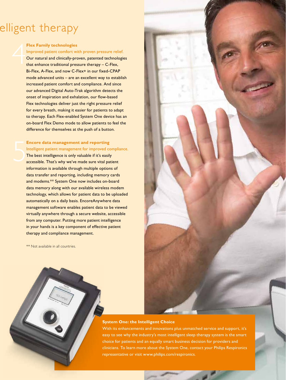## elligent therapy

#### **Flex Family technologies**

Improved patient comfort with proven pressure relief. Our natural and clinically-proven, patented technologies that enhance traditional pressure therapy – C-Flex, Bi-Flex, A-Flex, and now C-Flex+ in our fixed-CPAP mode advanced units – are an excellent way to establish increased patient comfort and compliance. And since our advanced Digital Auto-Trak algorithm detects the onset of inspiration and exhalation, our flow-based Flex technologies deliver just the right pressure relief for every breath, making it easier for patients to adapt to therapy. Each Flex-enabled System One device has an on-board Flex Demo mode to allow patients to feel the difference for themselves at the push of a button.

#### **Encore data management and reporting**

5 Intelligent patient management for improved compliance. The best intelligence is only valuable if it's easily accessible. That's why we've made sure vital patient information is available through multiple options of data transfer and reporting, including memory cards and modems.\*\* System One now includes on-board data memory along with our available wireless modem technology, which allows for patient data to be uploaded automatically on a daily basis. EncoreAnywhere data management software enables patient data to be viewed virtually anywhere through a secure website, accessible from any computer. Putting more patient intelligence in your hands is a key component of effective patient therapy and compliance management.

\*\* Not available in all countries.

#### **System One: the Intelligent Choice**

With its enhancements and innovations plus unmatched service and support, it's easy to see why the industry's most intelligent sleep therapy system is the smart choice for patients and an equally smart business decision for providers and clinicians. To learn more about the System One, contact your Philips Respironics representative or visit www.philips.com/respironics.